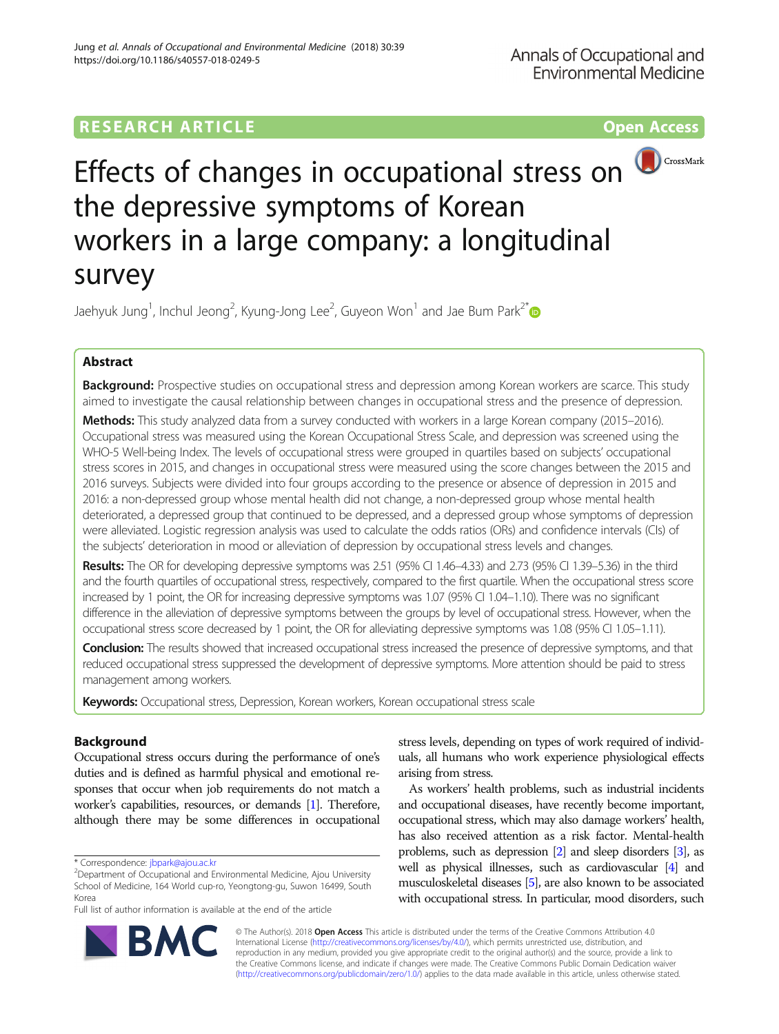# **RESEARCH ARTICLE Example 2014 12:30 The Contract of Contract ACCESS**



# Effects of changes in occupational stress on the depressive symptoms of Korean workers in a large company: a longitudinal survey

Jaehyuk Jung $^1$ , Inchul Jeong $^2$ , Kyung-Jong Lee $^2$ , Guyeon Won $^1$  and Jae Bum Park $^{2^\ast}$ 

# Abstract

Background: Prospective studies on occupational stress and depression among Korean workers are scarce. This study aimed to investigate the causal relationship between changes in occupational stress and the presence of depression.

Methods: This study analyzed data from a survey conducted with workers in a large Korean company (2015–2016). Occupational stress was measured using the Korean Occupational Stress Scale, and depression was screened using the WHO-5 Well-being Index. The levels of occupational stress were grouped in quartiles based on subjects' occupational stress scores in 2015, and changes in occupational stress were measured using the score changes between the 2015 and 2016 surveys. Subjects were divided into four groups according to the presence or absence of depression in 2015 and 2016: a non-depressed group whose mental health did not change, a non-depressed group whose mental health deteriorated, a depressed group that continued to be depressed, and a depressed group whose symptoms of depression were alleviated. Logistic regression analysis was used to calculate the odds ratios (ORs) and confidence intervals (CIs) of the subjects' deterioration in mood or alleviation of depression by occupational stress levels and changes.

Results: The OR for developing depressive symptoms was 2.51 (95% CI 1.46–4.33) and 2.73 (95% CI 1.39–5.36) in the third and the fourth quartiles of occupational stress, respectively, compared to the first quartile. When the occupational stress score increased by 1 point, the OR for increasing depressive symptoms was 1.07 (95% CI 1.04–1.10). There was no significant difference in the alleviation of depressive symptoms between the groups by level of occupational stress. However, when the occupational stress score decreased by 1 point, the OR for alleviating depressive symptoms was 1.08 (95% CI 1.05–1.11).

Conclusion: The results showed that increased occupational stress increased the presence of depressive symptoms, and that reduced occupational stress suppressed the development of depressive symptoms. More attention should be paid to stress management among workers.

Keywords: Occupational stress, Depression, Korean workers, Korean occupational stress scale

# Background

Occupational stress occurs during the performance of one's duties and is defined as harmful physical and emotional responses that occur when job requirements do not match a worker's capabilities, resources, or demands [\[1\]](#page-10-0). Therefore, although there may be some differences in occupational

Full list of author information is available at the end of the article

stress levels, depending on types of work required of individuals, all humans who work experience physiological effects arising from stress.

As workers' health problems, such as industrial incidents and occupational diseases, have recently become important, occupational stress, which may also damage workers' health, has also received attention as a risk factor. Mental-health problems, such as depression [[2](#page-10-0)] and sleep disorders [\[3](#page-10-0)], as well as physical illnesses, such as cardiovascular [\[4\]](#page-10-0) and musculoskeletal diseases [\[5\]](#page-10-0), are also known to be associated with occupational stress. In particular, mood disorders, such



© The Author(s). 2018 Open Access This article is distributed under the terms of the Creative Commons Attribution 4.0 International License [\(http://creativecommons.org/licenses/by/4.0/](http://creativecommons.org/licenses/by/4.0/)), which permits unrestricted use, distribution, and reproduction in any medium, provided you give appropriate credit to the original author(s) and the source, provide a link to the Creative Commons license, and indicate if changes were made. The Creative Commons Public Domain Dedication waiver [\(http://creativecommons.org/publicdomain/zero/1.0/](http://creativecommons.org/publicdomain/zero/1.0/)) applies to the data made available in this article, unless otherwise stated.

<sup>\*</sup> Correspondence: [jbpark@ajou.ac.kr](mailto:jbpark@ajou.ac.kr) <sup>2</sup>

<sup>&</sup>lt;sup>2</sup>Department of Occupational and Environmental Medicine, Ajou University School of Medicine, 164 World cup-ro, Yeongtong-gu, Suwon 16499, South Korea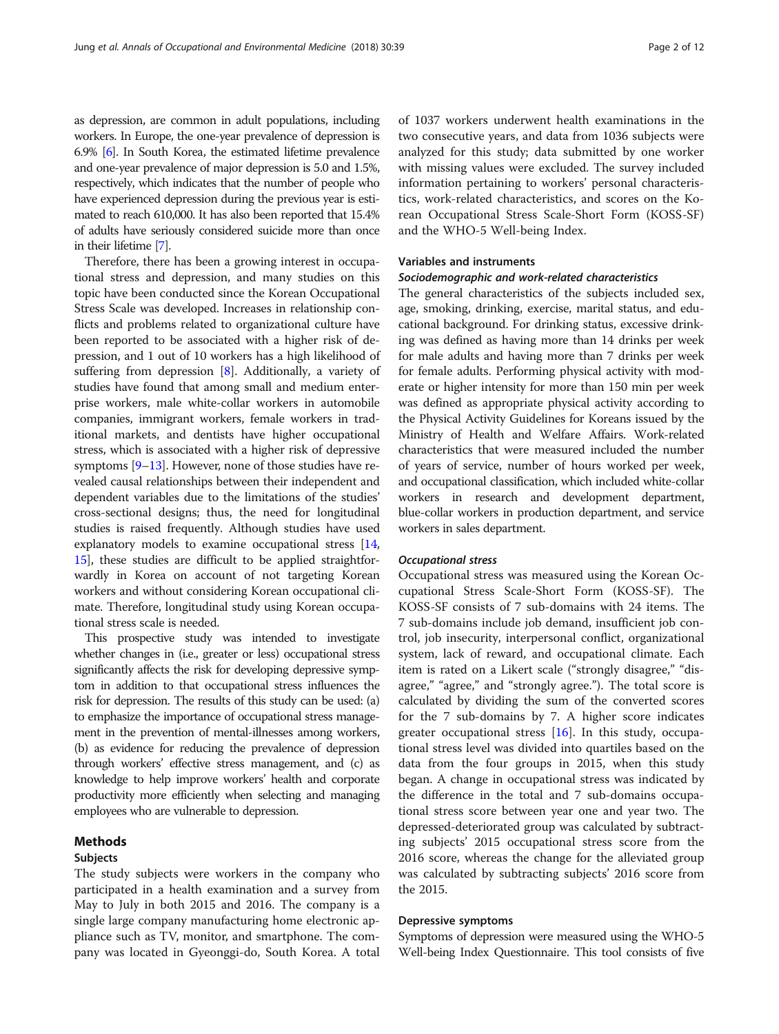as depression, are common in adult populations, including workers. In Europe, the one-year prevalence of depression is 6.9% [\[6\]](#page-10-0). In South Korea, the estimated lifetime prevalence and one-year prevalence of major depression is 5.0 and 1.5%, respectively, which indicates that the number of people who have experienced depression during the previous year is estimated to reach 610,000. It has also been reported that 15.4% of adults have seriously considered suicide more than once in their lifetime [\[7\]](#page-10-0).

Therefore, there has been a growing interest in occupational stress and depression, and many studies on this topic have been conducted since the Korean Occupational Stress Scale was developed. Increases in relationship conflicts and problems related to organizational culture have been reported to be associated with a higher risk of depression, and 1 out of 10 workers has a high likelihood of suffering from depression [\[8](#page-10-0)]. Additionally, a variety of studies have found that among small and medium enterprise workers, male white-collar workers in automobile companies, immigrant workers, female workers in traditional markets, and dentists have higher occupational stress, which is associated with a higher risk of depressive symptoms  $[9-13]$  $[9-13]$  $[9-13]$ . However, none of those studies have revealed causal relationships between their independent and dependent variables due to the limitations of the studies' cross-sectional designs; thus, the need for longitudinal studies is raised frequently. Although studies have used explanatory models to examine occupational stress [[14](#page-10-0), [15](#page-10-0)], these studies are difficult to be applied straightforwardly in Korea on account of not targeting Korean workers and without considering Korean occupational climate. Therefore, longitudinal study using Korean occupational stress scale is needed.

This prospective study was intended to investigate whether changes in (i.e., greater or less) occupational stress significantly affects the risk for developing depressive symptom in addition to that occupational stress influences the risk for depression. The results of this study can be used: (a) to emphasize the importance of occupational stress management in the prevention of mental-illnesses among workers, (b) as evidence for reducing the prevalence of depression through workers' effective stress management, and (c) as knowledge to help improve workers' health and corporate productivity more efficiently when selecting and managing employees who are vulnerable to depression.

# Methods

# Subjects

The study subjects were workers in the company who participated in a health examination and a survey from May to July in both 2015 and 2016. The company is a single large company manufacturing home electronic appliance such as TV, monitor, and smartphone. The company was located in Gyeonggi-do, South Korea. A total of 1037 workers underwent health examinations in the two consecutive years, and data from 1036 subjects were analyzed for this study; data submitted by one worker with missing values were excluded. The survey included information pertaining to workers' personal characteristics, work-related characteristics, and scores on the Korean Occupational Stress Scale-Short Form (KOSS-SF) and the WHO-5 Well-being Index.

## Variables and instruments

# Sociodemographic and work-related characteristics

The general characteristics of the subjects included sex, age, smoking, drinking, exercise, marital status, and educational background. For drinking status, excessive drinking was defined as having more than 14 drinks per week for male adults and having more than 7 drinks per week for female adults. Performing physical activity with moderate or higher intensity for more than 150 min per week was defined as appropriate physical activity according to the Physical Activity Guidelines for Koreans issued by the Ministry of Health and Welfare Affairs. Work-related characteristics that were measured included the number of years of service, number of hours worked per week, and occupational classification, which included white-collar workers in research and development department, blue-collar workers in production department, and service workers in sales department.

#### Occupational stress

Occupational stress was measured using the Korean Occupational Stress Scale-Short Form (KOSS-SF). The KOSS-SF consists of 7 sub-domains with 24 items. The 7 sub-domains include job demand, insufficient job control, job insecurity, interpersonal conflict, organizational system, lack of reward, and occupational climate. Each item is rated on a Likert scale ("strongly disagree," "disagree," "agree," and "strongly agree."). The total score is calculated by dividing the sum of the converted scores for the 7 sub-domains by 7. A higher score indicates greater occupational stress [[16\]](#page-10-0). In this study, occupational stress level was divided into quartiles based on the data from the four groups in 2015, when this study began. A change in occupational stress was indicated by the difference in the total and 7 sub-domains occupational stress score between year one and year two. The depressed-deteriorated group was calculated by subtracting subjects' 2015 occupational stress score from the 2016 score, whereas the change for the alleviated group was calculated by subtracting subjects' 2016 score from the 2015.

#### Depressive symptoms

Symptoms of depression were measured using the WHO-5 Well-being Index Questionnaire. This tool consists of five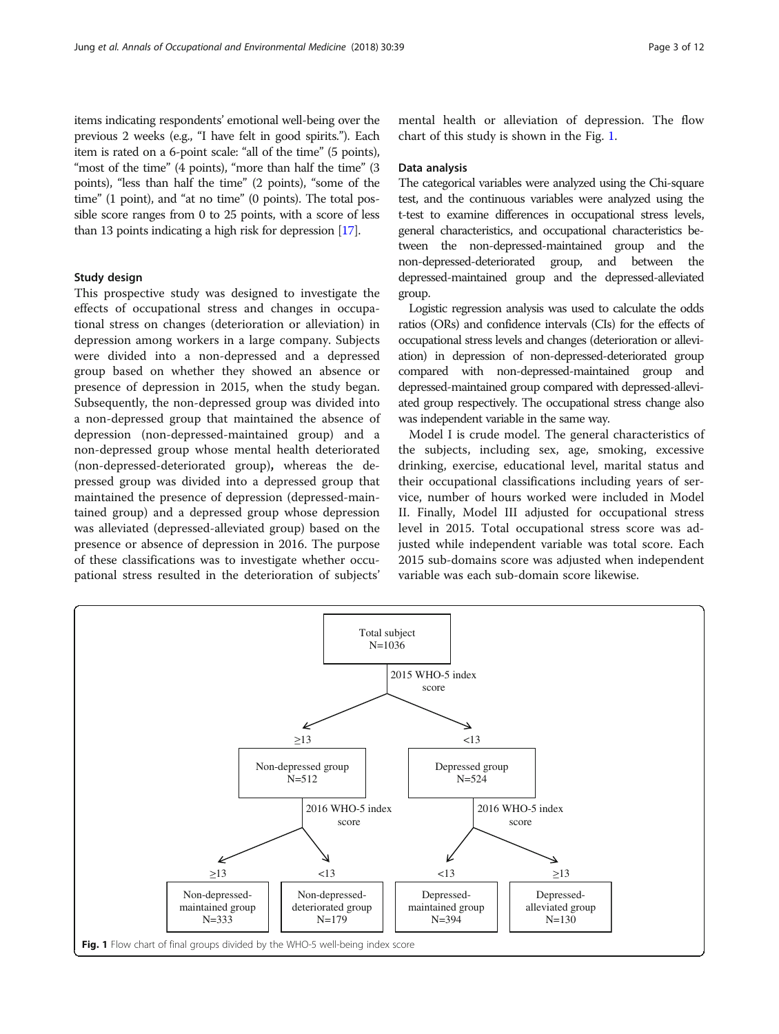items indicating respondents' emotional well-being over the previous 2 weeks (e.g., "I have felt in good spirits."). Each item is rated on a 6-point scale: "all of the time" (5 points), "most of the time" (4 points), "more than half the time" (3 points), "less than half the time" (2 points), "some of the time" (1 point), and "at no time" (0 points). The total possible score ranges from 0 to 25 points, with a score of less than 13 points indicating a high risk for depression [\[17\]](#page-10-0).

## Study design

This prospective study was designed to investigate the effects of occupational stress and changes in occupational stress on changes (deterioration or alleviation) in depression among workers in a large company. Subjects were divided into a non-depressed and a depressed group based on whether they showed an absence or presence of depression in 2015, when the study began. Subsequently, the non-depressed group was divided into a non-depressed group that maintained the absence of depression (non-depressed-maintained group) and a non-depressed group whose mental health deteriorated (non-depressed-deteriorated group), whereas the depressed group was divided into a depressed group that maintained the presence of depression (depressed-maintained group) and a depressed group whose depression was alleviated (depressed-alleviated group) based on the presence or absence of depression in 2016. The purpose of these classifications was to investigate whether occupational stress resulted in the deterioration of subjects'

mental health or alleviation of depression. The flow chart of this study is shown in the Fig. 1.

#### Data analysis

The categorical variables were analyzed using the Chi-square test, and the continuous variables were analyzed using the t-test to examine differences in occupational stress levels, general characteristics, and occupational characteristics between the non-depressed-maintained group and the non-depressed-deteriorated group, and between the depressed-maintained group and the depressed-alleviated group.

Logistic regression analysis was used to calculate the odds ratios (ORs) and confidence intervals (CIs) for the effects of occupational stress levels and changes (deterioration or alleviation) in depression of non-depressed-deteriorated group compared with non-depressed-maintained group and depressed-maintained group compared with depressed-alleviated group respectively. The occupational stress change also was independent variable in the same way.

Model I is crude model. The general characteristics of the subjects, including sex, age, smoking, excessive drinking, exercise, educational level, marital status and their occupational classifications including years of service, number of hours worked were included in Model II. Finally, Model III adjusted for occupational stress level in 2015. Total occupational stress score was adjusted while independent variable was total score. Each 2015 sub-domains score was adjusted when independent variable was each sub-domain score likewise.

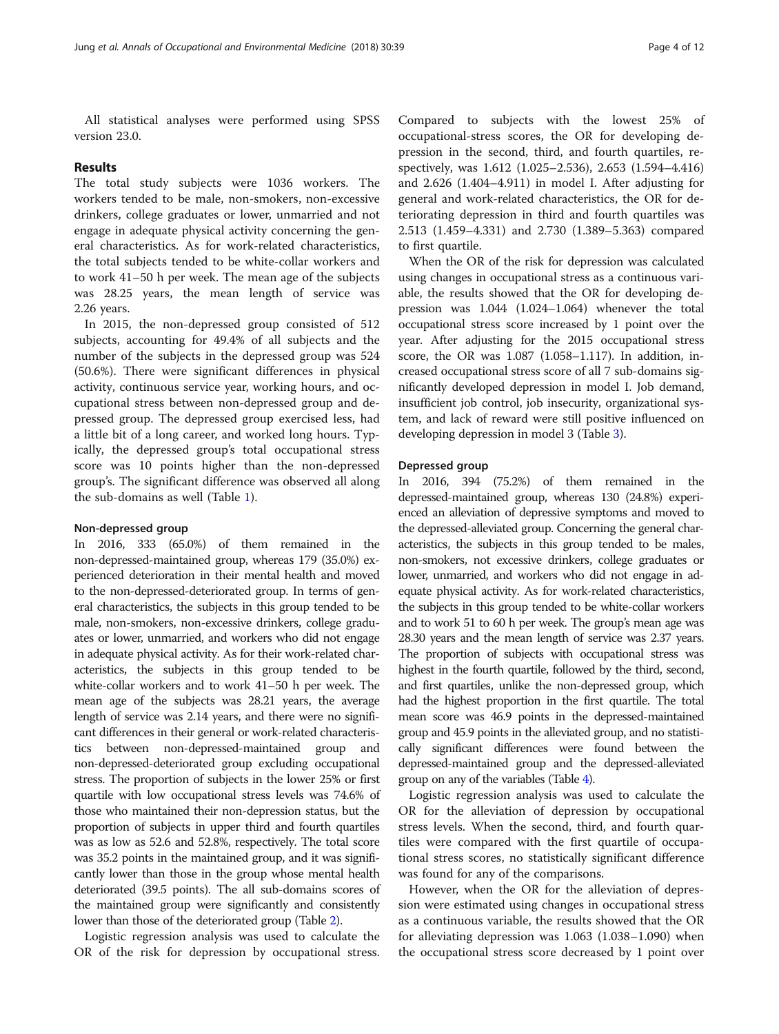All statistical analyses were performed using SPSS version 23.0.

#### Results

The total study subjects were 1036 workers. The workers tended to be male, non-smokers, non-excessive drinkers, college graduates or lower, unmarried and not engage in adequate physical activity concerning the general characteristics. As for work-related characteristics, the total subjects tended to be white-collar workers and to work 41–50 h per week. The mean age of the subjects was 28.25 years, the mean length of service was 2.26 years.

In 2015, the non-depressed group consisted of 512 subjects, accounting for 49.4% of all subjects and the number of the subjects in the depressed group was 524 (50.6%). There were significant differences in physical activity, continuous service year, working hours, and occupational stress between non-depressed group and depressed group. The depressed group exercised less, had a little bit of a long career, and worked long hours. Typically, the depressed group's total occupational stress score was 10 points higher than the non-depressed group's. The significant difference was observed all along the sub-domains as well (Table [1\)](#page-4-0).

## Non-depressed group

In 2016, 333 (65.0%) of them remained in the non-depressed-maintained group, whereas 179 (35.0%) experienced deterioration in their mental health and moved to the non-depressed-deteriorated group. In terms of general characteristics, the subjects in this group tended to be male, non-smokers, non-excessive drinkers, college graduates or lower, unmarried, and workers who did not engage in adequate physical activity. As for their work-related characteristics, the subjects in this group tended to be white-collar workers and to work 41–50 h per week. The mean age of the subjects was 28.21 years, the average length of service was 2.14 years, and there were no significant differences in their general or work-related characteristics between non-depressed-maintained group and non-depressed-deteriorated group excluding occupational stress. The proportion of subjects in the lower 25% or first quartile with low occupational stress levels was 74.6% of those who maintained their non-depression status, but the proportion of subjects in upper third and fourth quartiles was as low as 52.6 and 52.8%, respectively. The total score was 35.2 points in the maintained group, and it was significantly lower than those in the group whose mental health deteriorated (39.5 points). The all sub-domains scores of the maintained group were significantly and consistently lower than those of the deteriorated group (Table [2\)](#page-6-0).

Logistic regression analysis was used to calculate the OR of the risk for depression by occupational stress.

Compared to subjects with the lowest 25% of occupational-stress scores, the OR for developing depression in the second, third, and fourth quartiles, respectively, was 1.612 (1.025–2.536), 2.653 (1.594–4.416) and 2.626 (1.404–4.911) in model I. After adjusting for general and work-related characteristics, the OR for deteriorating depression in third and fourth quartiles was 2.513 (1.459–4.331) and 2.730 (1.389–5.363) compared to first quartile.

When the OR of the risk for depression was calculated using changes in occupational stress as a continuous variable, the results showed that the OR for developing depression was 1.044 (1.024–1.064) whenever the total occupational stress score increased by 1 point over the year. After adjusting for the 2015 occupational stress score, the OR was 1.087 (1.058–1.117). In addition, increased occupational stress score of all 7 sub-domains significantly developed depression in model I. Job demand, insufficient job control, job insecurity, organizational system, and lack of reward were still positive influenced on developing depression in model 3 (Table [3\)](#page-7-0).

## Depressed group

In 2016, 394 (75.2%) of them remained in the depressed-maintained group, whereas 130 (24.8%) experienced an alleviation of depressive symptoms and moved to the depressed-alleviated group. Concerning the general characteristics, the subjects in this group tended to be males, non-smokers, not excessive drinkers, college graduates or lower, unmarried, and workers who did not engage in adequate physical activity. As for work-related characteristics, the subjects in this group tended to be white-collar workers and to work 51 to 60 h per week. The group's mean age was 28.30 years and the mean length of service was 2.37 years. The proportion of subjects with occupational stress was highest in the fourth quartile, followed by the third, second, and first quartiles, unlike the non-depressed group, which had the highest proportion in the first quartile. The total mean score was 46.9 points in the depressed-maintained group and 45.9 points in the alleviated group, and no statistically significant differences were found between the depressed-maintained group and the depressed-alleviated group on any of the variables (Table [4](#page-8-0)).

Logistic regression analysis was used to calculate the OR for the alleviation of depression by occupational stress levels. When the second, third, and fourth quartiles were compared with the first quartile of occupational stress scores, no statistically significant difference was found for any of the comparisons.

However, when the OR for the alleviation of depression were estimated using changes in occupational stress as a continuous variable, the results showed that the OR for alleviating depression was 1.063 (1.038–1.090) when the occupational stress score decreased by 1 point over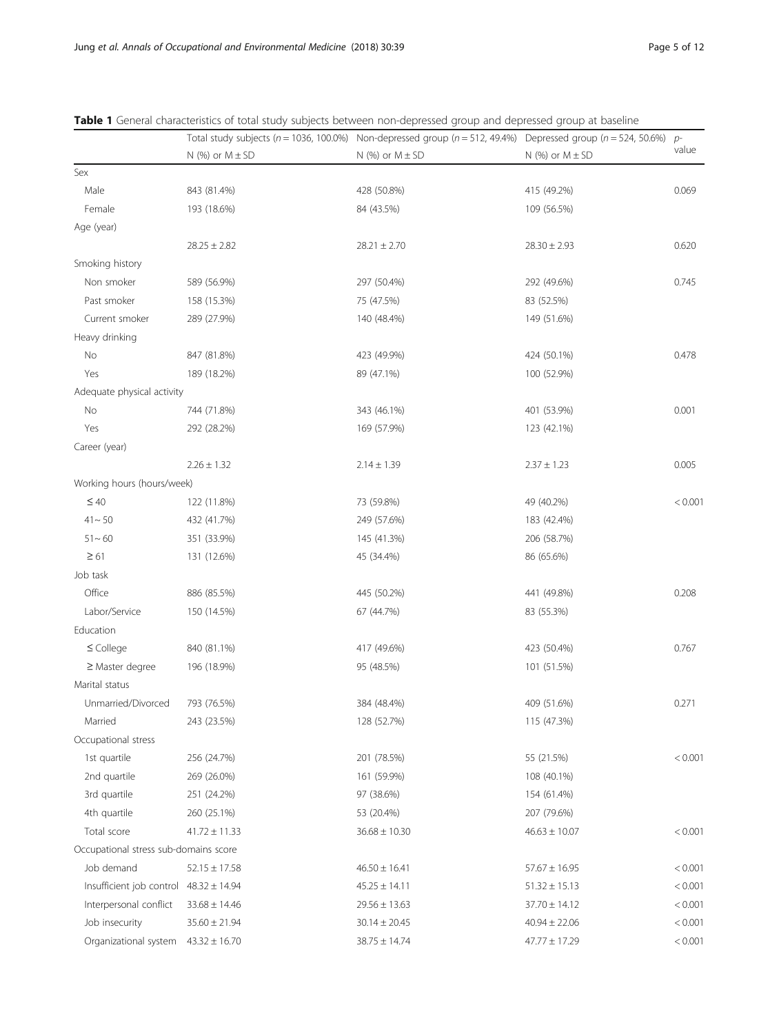|  | Page 5 of 12 |  |  |  |
|--|--------------|--|--|--|
|--|--------------|--|--|--|

|                                            |                       | Total study subjects ( $n = 1036$ , 100.0%) Non-depressed group ( $n = 512$ , 49.4%) | Depressed group ( $n = 524$ , 50.6%) | $p-$    |
|--------------------------------------------|-----------------------|--------------------------------------------------------------------------------------|--------------------------------------|---------|
|                                            | $N$ (%) or $M \pm SD$ | N $(%)$ or $M \pm SD$                                                                | $N$ (%) or $M \pm SD$                | value   |
| Sex                                        |                       |                                                                                      |                                      |         |
| Male                                       | 843 (81.4%)           | 428 (50.8%)                                                                          | 415 (49.2%)                          | 0.069   |
| Female                                     | 193 (18.6%)           | 84 (43.5%)                                                                           | 109 (56.5%)                          |         |
| Age (year)                                 |                       |                                                                                      |                                      |         |
|                                            | $28.25 \pm 2.82$      | $28.21 \pm 2.70$                                                                     | $28.30 \pm 2.93$                     | 0.620   |
| Smoking history                            |                       |                                                                                      |                                      |         |
| Non smoker                                 | 589 (56.9%)           | 297 (50.4%)                                                                          | 292 (49.6%)                          | 0.745   |
| Past smoker                                | 158 (15.3%)           | 75 (47.5%)                                                                           | 83 (52.5%)                           |         |
| Current smoker                             | 289 (27.9%)           | 140 (48.4%)                                                                          | 149 (51.6%)                          |         |
| Heavy drinking                             |                       |                                                                                      |                                      |         |
| No                                         | 847 (81.8%)           | 423 (49.9%)                                                                          | 424 (50.1%)                          | 0.478   |
| Yes                                        | 189 (18.2%)           | 89 (47.1%)                                                                           | 100 (52.9%)                          |         |
| Adequate physical activity                 |                       |                                                                                      |                                      |         |
| No                                         | 744 (71.8%)           | 343 (46.1%)                                                                          | 401 (53.9%)                          | 0.001   |
| Yes                                        | 292 (28.2%)           | 169 (57.9%)                                                                          | 123 (42.1%)                          |         |
| Career (year)                              |                       |                                                                                      |                                      |         |
|                                            | $2.26 \pm 1.32$       | $2.14 \pm 1.39$                                                                      | $2.37 \pm 1.23$                      | 0.005   |
| Working hours (hours/week)                 |                       |                                                                                      |                                      |         |
| $\leq 40$                                  | 122 (11.8%)           | 73 (59.8%)                                                                           | 49 (40.2%)                           | < 0.001 |
| $41 - 50$                                  | 432 (41.7%)           | 249 (57.6%)                                                                          | 183 (42.4%)                          |         |
| $51 - 60$                                  | 351 (33.9%)           | 145 (41.3%)                                                                          | 206 (58.7%)                          |         |
| $\geq 61$                                  | 131 (12.6%)           | 45 (34.4%)                                                                           | 86 (65.6%)                           |         |
| Job task                                   |                       |                                                                                      |                                      |         |
| Office                                     | 886 (85.5%)           | 445 (50.2%)                                                                          | 441 (49.8%)                          | 0.208   |
| Labor/Service                              | 150 (14.5%)           | 67 (44.7%)                                                                           | 83 (55.3%)                           |         |
| Education                                  |                       |                                                                                      |                                      |         |
| $\leq$ College                             | 840 (81.1%)           | 417 (49.6%)                                                                          | 423 (50.4%)                          | 0.767   |
| $\geq$ Master degree                       | 196 (18.9%)           | 95 (48.5%)                                                                           | 101 (51.5%)                          |         |
| Marital status                             |                       |                                                                                      |                                      |         |
| Unmarried/Divorced                         | 793 (76.5%)           | 384 (48.4%)                                                                          | 409 (51.6%)                          | 0.271   |
| Married                                    | 243 (23.5%)           | 128 (52.7%)                                                                          | 115 (47.3%)                          |         |
| Occupational stress                        |                       |                                                                                      |                                      |         |
| 1st quartile                               | 256 (24.7%)           | 201 (78.5%)                                                                          | 55 (21.5%)                           | < 0.001 |
| 2nd quartile                               | 269 (26.0%)           | 161 (59.9%)                                                                          | 108 (40.1%)                          |         |
| 3rd quartile                               | 251 (24.2%)           | 97 (38.6%)                                                                           | 154 (61.4%)                          |         |
| 4th quartile                               | 260 (25.1%)           | 53 (20.4%)                                                                           | 207 (79.6%)                          |         |
| Total score                                | $41.72 \pm 11.33$     | $36.68 \pm 10.30$                                                                    | $46.63 \pm 10.07$                    | < 0.001 |
| Occupational stress sub-domains score      |                       |                                                                                      |                                      |         |
| Job demand                                 | $52.15 \pm 17.58$     | $46.50 \pm 16.41$                                                                    | $57.67 \pm 16.95$                    | < 0.001 |
| Insufficient job control $48.32 \pm 14.94$ |                       | $45.25 \pm 14.11$                                                                    | $51.32 \pm 15.13$                    | < 0.001 |
| Interpersonal conflict                     | $33.68 \pm 14.46$     | $29.56 \pm 13.63$                                                                    | $37.70 \pm 14.12$                    | < 0.001 |
| Job insecurity                             | $35.60 \pm 21.94$     | $30.14 \pm 20.45$                                                                    | $40.94 \pm 22.06$                    | < 0.001 |
| Organizational system                      | $43.32 \pm 16.70$     | $38.75 \pm 14.74$                                                                    | $47.77 \pm 17.29$                    | < 0.001 |

<span id="page-4-0"></span>Table 1 General characteristics of total study subjects between non-depressed group and depressed group at baseline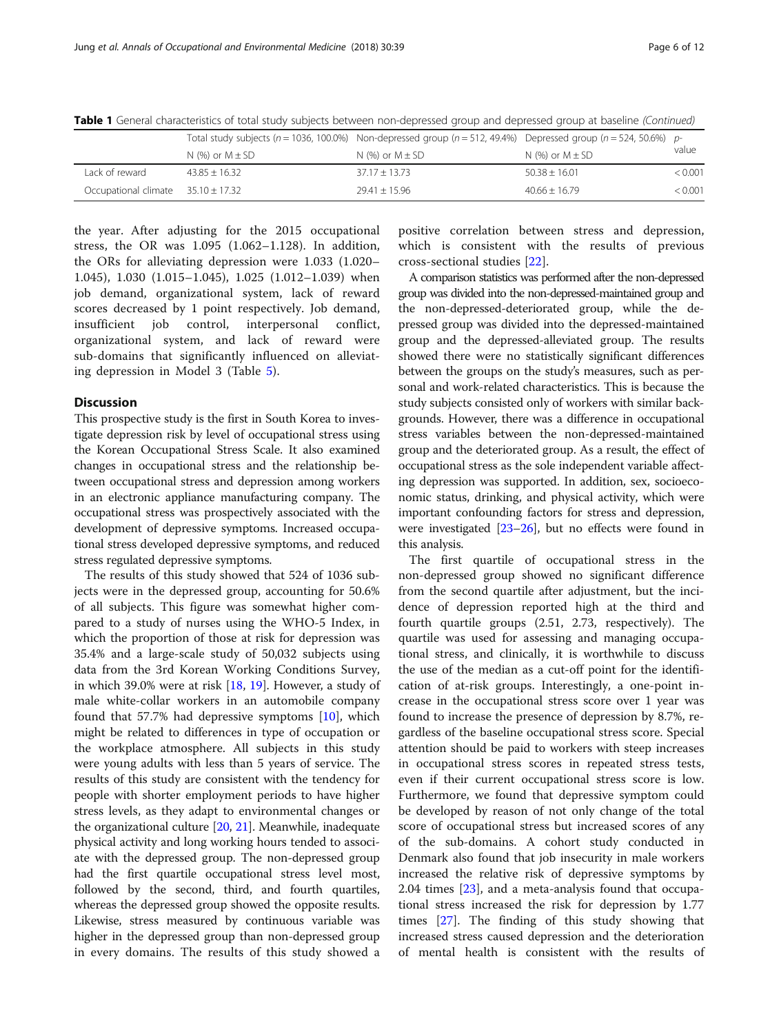|                                        |                       | Total study subjects ( $n = 1036, 100.0\%$ ) Non-depressed group ( $n = 512, 49.4\%$ ) Depressed group ( $n = 524, 50.6\%$ ) p- |                       |         |
|----------------------------------------|-----------------------|---------------------------------------------------------------------------------------------------------------------------------|-----------------------|---------|
|                                        | N $(%)$ or $M \pm SD$ | N $%$ or M $\pm$ SD                                                                                                             | N $(%)$ or $M \pm SD$ | value   |
| Lack of reward                         | $43.85 + 16.32$       | $37.17 + 13.73$                                                                                                                 | $50.38 + 16.01$       | < 0.001 |
| Occupational climate $35.10 \pm 17.32$ |                       | $29.41 \pm 15.96$                                                                                                               | $40.66 + 16.79$       | < 0.001 |

Table 1 General characteristics of total study subjects between non-depressed group and depressed group at baseline (Continued)

the year. After adjusting for the 2015 occupational stress, the OR was 1.095 (1.062–1.128). In addition, the ORs for alleviating depression were 1.033 (1.020– 1.045), 1.030 (1.015–1.045), 1.025 (1.012–1.039) when job demand, organizational system, lack of reward scores decreased by 1 point respectively. Job demand, insufficient job control, interpersonal conflict, organizational system, and lack of reward were sub-domains that significantly influenced on alleviating depression in Model 3 (Table [5\)](#page-9-0).

#### **Discussion**

This prospective study is the first in South Korea to investigate depression risk by level of occupational stress using the Korean Occupational Stress Scale. It also examined changes in occupational stress and the relationship between occupational stress and depression among workers in an electronic appliance manufacturing company. The occupational stress was prospectively associated with the development of depressive symptoms. Increased occupational stress developed depressive symptoms, and reduced stress regulated depressive symptoms.

The results of this study showed that 524 of 1036 subjects were in the depressed group, accounting for 50.6% of all subjects. This figure was somewhat higher compared to a study of nurses using the WHO-5 Index, in which the proportion of those at risk for depression was 35.4% and a large-scale study of 50,032 subjects using data from the 3rd Korean Working Conditions Survey, in which 39.0% were at risk [[18,](#page-10-0) [19\]](#page-10-0). However, a study of male white-collar workers in an automobile company found that 57.7% had depressive symptoms [[10\]](#page-10-0), which might be related to differences in type of occupation or the workplace atmosphere. All subjects in this study were young adults with less than 5 years of service. The results of this study are consistent with the tendency for people with shorter employment periods to have higher stress levels, as they adapt to environmental changes or the organizational culture [[20](#page-10-0), [21\]](#page-10-0). Meanwhile, inadequate physical activity and long working hours tended to associate with the depressed group. The non-depressed group had the first quartile occupational stress level most, followed by the second, third, and fourth quartiles, whereas the depressed group showed the opposite results. Likewise, stress measured by continuous variable was higher in the depressed group than non-depressed group in every domains. The results of this study showed a

positive correlation between stress and depression, which is consistent with the results of previous cross-sectional studies [\[22](#page-10-0)].

A comparison statistics was performed after the non-depressed group was divided into the non-depressed-maintained group and the non-depressed-deteriorated group, while the depressed group was divided into the depressed-maintained group and the depressed-alleviated group. The results showed there were no statistically significant differences between the groups on the study's measures, such as personal and work-related characteristics. This is because the study subjects consisted only of workers with similar backgrounds. However, there was a difference in occupational stress variables between the non-depressed-maintained group and the deteriorated group. As a result, the effect of occupational stress as the sole independent variable affecting depression was supported. In addition, sex, socioeconomic status, drinking, and physical activity, which were important confounding factors for stress and depression, were investigated  $[23-26]$  $[23-26]$  $[23-26]$  $[23-26]$ , but no effects were found in this analysis.

The first quartile of occupational stress in the non-depressed group showed no significant difference from the second quartile after adjustment, but the incidence of depression reported high at the third and fourth quartile groups (2.51, 2.73, respectively). The quartile was used for assessing and managing occupational stress, and clinically, it is worthwhile to discuss the use of the median as a cut-off point for the identification of at-risk groups. Interestingly, a one-point increase in the occupational stress score over 1 year was found to increase the presence of depression by 8.7%, regardless of the baseline occupational stress score. Special attention should be paid to workers with steep increases in occupational stress scores in repeated stress tests, even if their current occupational stress score is low. Furthermore, we found that depressive symptom could be developed by reason of not only change of the total score of occupational stress but increased scores of any of the sub-domains. A cohort study conducted in Denmark also found that job insecurity in male workers increased the relative risk of depressive symptoms by 2.04 times [\[23](#page-10-0)], and a meta-analysis found that occupational stress increased the risk for depression by 1.77 times [[27\]](#page-11-0). The finding of this study showing that increased stress caused depression and the deterioration of mental health is consistent with the results of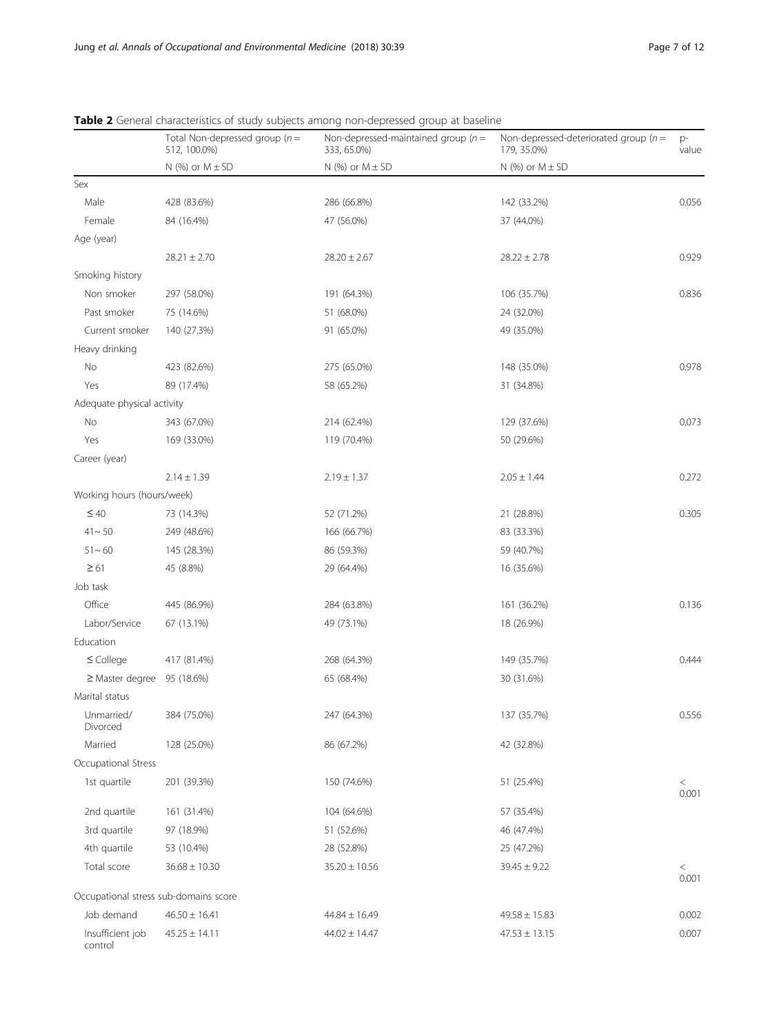|                                       | Total Non-depressed group ( $n =$<br>512, 100.0%) | Non-depressed-maintained group ( $n =$<br>333, 65.0%) | Non-depressed-deteriorated group ( $n =$<br>179, 35.0%) | p-<br>value      |
|---------------------------------------|---------------------------------------------------|-------------------------------------------------------|---------------------------------------------------------|------------------|
|                                       | $N$ (%) or $M \pm SD$                             | $N$ (%) or $M \pm SD$                                 | $N$ (%) or $M \pm SD$                                   |                  |
| Sex                                   |                                                   |                                                       |                                                         |                  |
| Male                                  | 428 (83.6%)                                       | 286 (66.8%)                                           | 142 (33.2%)                                             | 0.056            |
| Female                                | 84 (16.4%)                                        | 47 (56.0%)                                            | 37 (44.0%)                                              |                  |
| Age (year)                            |                                                   |                                                       |                                                         |                  |
|                                       | $28.21 \pm 2.70$                                  | $28.20 \pm 2.67$                                      | $28.22 \pm 2.78$                                        | 0.929            |
| Smoking history                       |                                                   |                                                       |                                                         |                  |
| Non smoker                            | 297 (58.0%)                                       | 191 (64.3%)                                           | 106 (35.7%)                                             | 0.836            |
| Past smoker                           | 75 (14.6%)                                        | 51 (68.0%)                                            | 24 (32.0%)                                              |                  |
| Current smoker                        | 140 (27.3%)                                       | 91 (65.0%)                                            | 49 (35.0%)                                              |                  |
| Heavy drinking                        |                                                   |                                                       |                                                         |                  |
| No                                    | 423 (82.6%)                                       | 275 (65.0%)                                           | 148 (35.0%)                                             | 0.978            |
| Yes                                   | 89 (17.4%)                                        | 58 (65.2%)                                            | 31 (34.8%)                                              |                  |
| Adequate physical activity            |                                                   |                                                       |                                                         |                  |
| No                                    | 343 (67.0%)                                       | 214 (62.4%)                                           | 129 (37.6%)                                             | 0.073            |
| Yes                                   | 169 (33.0%)                                       | 119 (70.4%)                                           | 50 (29.6%)                                              |                  |
| Career (year)                         |                                                   |                                                       |                                                         |                  |
|                                       | $2.14 \pm 1.39$                                   | $2.19 \pm 1.37$                                       | $2.05 \pm 1.44$                                         | 0.272            |
| Working hours (hours/week)            |                                                   |                                                       |                                                         |                  |
| $\leq 40$                             | 73 (14.3%)                                        | 52 (71.2%)                                            | 21 (28.8%)                                              | 0.305            |
| $41 - 50$                             | 249 (48.6%)                                       | 166 (66.7%)                                           | 83 (33.3%)                                              |                  |
| $51 - 60$                             | 145 (28.3%)                                       | 86 (59.3%)                                            | 59 (40.7%)                                              |                  |
| $\geq 61$                             | 45 (8.8%)                                         | 29 (64.4%)                                            | 16 (35.6%)                                              |                  |
| Job task                              |                                                   |                                                       |                                                         |                  |
| Office                                | 445 (86.9%)                                       | 284 (63.8%)                                           | 161 (36.2%)                                             | 0.136            |
| Labor/Service                         | 67 (13.1%)                                        | 49 (73.1%)                                            | 18 (26.9%)                                              |                  |
| Education                             |                                                   |                                                       |                                                         |                  |
| $\leq$ College                        | 417 (81.4%)                                       | 268 (64.3%)                                           | 149 (35.7%)                                             | 0.444            |
| $\geq$ Master degree 95 (18.6%)       |                                                   | 65 (68.4%)                                            | 30 (31.6%)                                              |                  |
| Marital status                        |                                                   |                                                       |                                                         |                  |
| Unmarried/<br>Divorced                | 384 (75.0%)                                       | 247 (64.3%)                                           | 137 (35.7%)                                             | 0.556            |
| Married                               | 128 (25.0%)                                       | 86 (67.2%)                                            | 42 (32.8%)                                              |                  |
| Occupational Stress                   |                                                   |                                                       |                                                         |                  |
| 1st quartile                          | 201 (39.3%)                                       | 150 (74.6%)                                           | 51 (25.4%)                                              | $\,<$<br>0.001   |
| 2nd quartile                          | 161 (31.4%)                                       | 104 (64.6%)                                           | 57 (35.4%)                                              |                  |
| 3rd quartile                          | 97 (18.9%)                                        | 51 (52.6%)                                            | 46 (47.4%)                                              |                  |
| 4th quartile                          | 53 (10.4%)                                        | 28 (52.8%)                                            | 25 (47.2%)                                              |                  |
| Total score                           | $36.68 \pm 10.30$                                 | $35.20 \pm 10.56$                                     | $39.45 \pm 9.22$                                        | $\,<\,$<br>0.001 |
| Occupational stress sub-domains score |                                                   |                                                       |                                                         |                  |
| Job demand                            | $46.50 \pm 16.41$                                 | $44.84 \pm 16.49$                                     | $49.58 \pm 15.83$                                       | 0.002            |
| Insufficient job<br>control           | $45.25 \pm 14.11$                                 | $44.02 \pm 14.47$                                     | $47.53 \pm 13.15$                                       | 0.007            |

<span id="page-6-0"></span>Table 2 General characteristics of study subjects among non-depressed group at baseline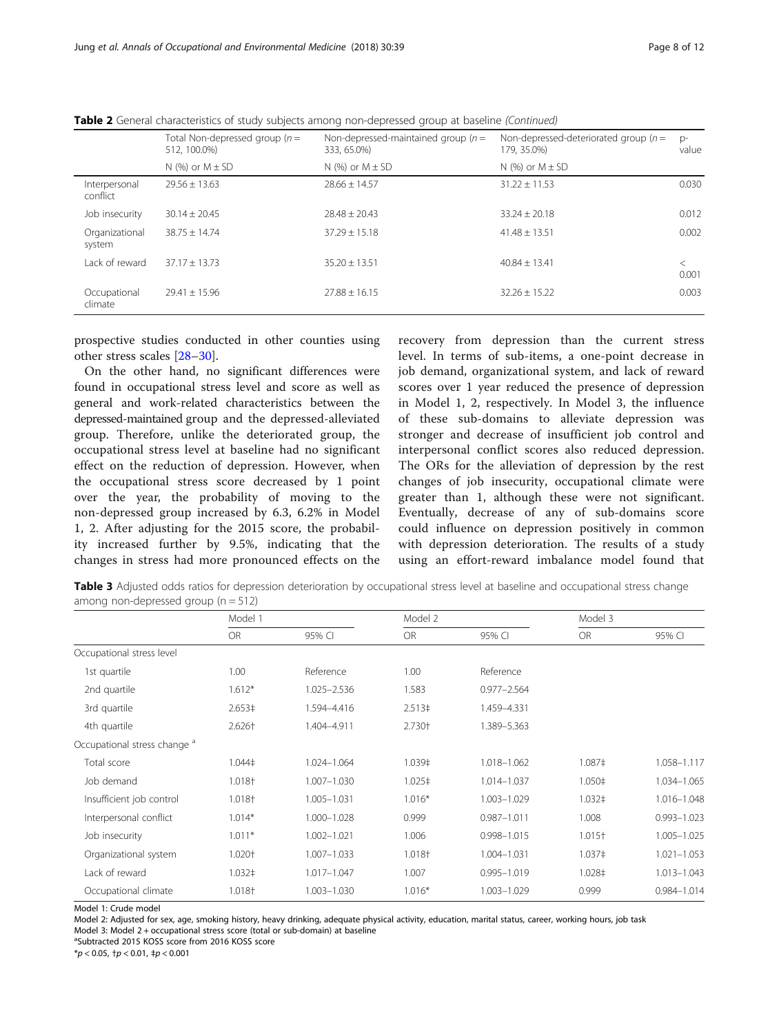|                           | Total Non-depressed group $(n =$<br>512, 100.0%) | Non-depressed-maintained group ( $n =$<br>333, 65.0%) | Non-depressed-deteriorated group ( $n =$<br>179, 35,0%) | $D^-$<br>value |
|---------------------------|--------------------------------------------------|-------------------------------------------------------|---------------------------------------------------------|----------------|
|                           | N $(%)$ or $M \pm SD$                            | N $(%)$ or $M \pm SD$                                 | N $(\%)$ or $M \pm SD$                                  |                |
| Interpersonal<br>conflict | $29.56 + 13.63$                                  | $28.66 + 14.57$                                       | $31.22 \pm 11.53$                                       | 0.030          |
| Job insecurity            | $30.14 \pm 20.45$                                | $78.48 + 70.43$                                       | $33.24 \pm 20.18$                                       | 0.012          |
| Organizational<br>system  | $38.75 + 14.74$                                  | $37.29 \pm 15.18$                                     | $41.48 \pm 13.51$                                       | 0.002          |
| Lack of reward            | $37.17 + 13.73$                                  | $35.20 + 13.51$                                       | $40.84 + 13.41$                                         | $\lt$<br>0.001 |
| Occupational<br>climate   | $79.41 + 15.96$                                  | $27.88 + 16.15$                                       | $32.26 + 15.22$                                         | 0.003          |

<span id="page-7-0"></span>Table 2 General characteristics of study subjects among non-depressed group at baseline (Continued)

prospective studies conducted in other counties using other stress scales [\[28](#page-11-0)–[30\]](#page-11-0).

On the other hand, no significant differences were found in occupational stress level and score as well as general and work-related characteristics between the depressed-maintained group and the depressed-alleviated group. Therefore, unlike the deteriorated group, the occupational stress level at baseline had no significant effect on the reduction of depression. However, when the occupational stress score decreased by 1 point over the year, the probability of moving to the non-depressed group increased by 6.3, 6.2% in Model 1, 2. After adjusting for the 2015 score, the probability increased further by 9.5%, indicating that the changes in stress had more pronounced effects on the

recovery from depression than the current stress level. In terms of sub-items, a one-point decrease in job demand, organizational system, and lack of reward scores over 1 year reduced the presence of depression in Model 1, 2, respectively. In Model 3, the influence of these sub-domains to alleviate depression was stronger and decrease of insufficient job control and interpersonal conflict scores also reduced depression. The ORs for the alleviation of depression by the rest changes of job insecurity, occupational climate were greater than 1, although these were not significant. Eventually, decrease of any of sub-domains score could influence on depression positively in common with depression deterioration. The results of a study using an effort-reward imbalance model found that

Table 3 Adjusted odds ratios for depression deterioration by occupational stress level at baseline and occupational stress change among non-depressed group  $(n = 512)$ 

|                                         | Model 1            |             | Model 2            |                 |                    | Model 3         |  |
|-----------------------------------------|--------------------|-------------|--------------------|-----------------|--------------------|-----------------|--|
|                                         | <b>OR</b>          | 95% CI      | <b>OR</b>          | 95% CI          | <b>OR</b>          | 95% CI          |  |
| Occupational stress level               |                    |             |                    |                 |                    |                 |  |
| 1st quartile                            | 1.00 <sub>1</sub>  | Reference   | 1.00               | Reference       |                    |                 |  |
| 2nd quartile                            | $1.612*$           | 1.025-2.536 | 1.583              | $0.977 - 2.564$ |                    |                 |  |
| 3rd quartile                            | 2.653‡             | 1.594-4.416 | 2.513 <sup>‡</sup> | 1.459-4.331     |                    |                 |  |
| 4th quartile                            | 2.626†             | 1.404-4.911 | 2.730+             | 1.389-5.363     |                    |                 |  |
| Occupational stress change <sup>a</sup> |                    |             |                    |                 |                    |                 |  |
| Total score                             | 1.044‡             | 1.024-1.064 | 1.039‡             | 1.018-1.062     | 1.087‡             | 1.058-1.117     |  |
| Job demand                              | 1.018†             | 1.007-1.030 | 1.025‡             | 1.014-1.037     | 1.050‡             | 1.034-1.065     |  |
| Insufficient job control                | 1.018†             | 1.005-1.031 | $1.016*$           | 1.003-1.029     | $1.032 \pm$        | 1.016-1.048     |  |
| Interpersonal conflict                  | $1.014*$           | 1.000-1.028 | 0.999              | $0.987 - 1.011$ | 1.008              | $0.993 - 1.023$ |  |
| Job insecurity                          | $1.011*$           | 1.002-1.021 | 1.006              | $0.998 - 1.015$ | $1.015+$           | 1.005-1.025     |  |
| Organizational system                   | 1.020†             | 1.007-1.033 | 1.018†             | 1.004-1.031     | 1.037 <sup>±</sup> | $1.021 - 1.053$ |  |
| Lack of reward                          | 1.032 <sup>‡</sup> | 1.017-1.047 | 1.007              | $0.995 - 1.019$ | 1.028‡             | 1.013-1.043     |  |
| Occupational climate                    | 1.018†             | 1.003-1.030 | $1.016*$           | 1.003-1.029     | 0.999              | 0.984-1.014     |  |

Model 1: Crude model

Model 2: Adjusted for sex, age, smoking history, heavy drinking, adequate physical activity, education, marital status, career, working hours, job task Model 3: Model 2 + occupational stress score (total or sub-domain) at baseline

a Subtracted 2015 KOSS score from 2016 KOSS score

\*p < 0.05, †p < 0.01, ‡p < 0.001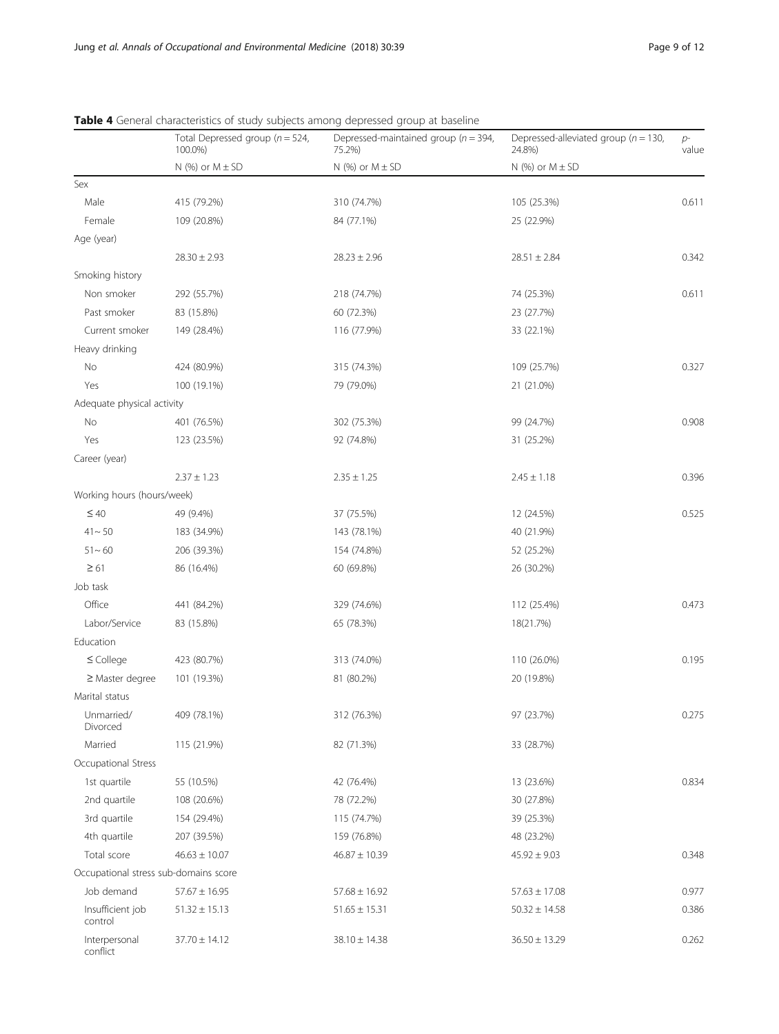|                                       | Total Depressed group ( $n = 524$ ,<br>100.0%) | Depressed-maintained group ( $n = 394$ ,<br>75.2%) | Depressed-alleviated group ( $n = 130$ ,<br>24.8%) | $p-$<br>value |
|---------------------------------------|------------------------------------------------|----------------------------------------------------|----------------------------------------------------|---------------|
|                                       | $N$ (%) or $M \pm SD$                          | N (%) or $M \pm SD$                                | $N$ (%) or $M \pm SD$                              |               |
| Sex                                   |                                                |                                                    |                                                    |               |
| Male                                  | 415 (79.2%)                                    | 310 (74.7%)                                        | 105 (25.3%)                                        | 0.611         |
| Female                                | 109 (20.8%)                                    | 84 (77.1%)                                         | 25 (22.9%)                                         |               |
| Age (year)                            |                                                |                                                    |                                                    |               |
|                                       | $28.30 \pm 2.93$                               | $28.23 \pm 2.96$                                   | $28.51 \pm 2.84$                                   | 0.342         |
| Smoking history                       |                                                |                                                    |                                                    |               |
| Non smoker                            | 292 (55.7%)                                    | 218 (74.7%)                                        | 74 (25.3%)                                         | 0.611         |
| Past smoker                           | 83 (15.8%)                                     | 60 (72.3%)                                         | 23 (27.7%)                                         |               |
| Current smoker                        | 149 (28.4%)                                    | 116 (77.9%)                                        | 33 (22.1%)                                         |               |
| Heavy drinking                        |                                                |                                                    |                                                    |               |
| No                                    | 424 (80.9%)                                    | 315 (74.3%)                                        | 109 (25.7%)                                        | 0.327         |
| Yes                                   | 100 (19.1%)                                    | 79 (79.0%)                                         | 21 (21.0%)                                         |               |
| Adequate physical activity            |                                                |                                                    |                                                    |               |
| No                                    | 401 (76.5%)                                    | 302 (75.3%)                                        | 99 (24.7%)                                         | 0.908         |
| Yes                                   | 123 (23.5%)                                    | 92 (74.8%)                                         | 31 (25.2%)                                         |               |
| Career (year)                         |                                                |                                                    |                                                    |               |
|                                       | $2.37 \pm 1.23$                                | $2.35 \pm 1.25$                                    | $2.45 \pm 1.18$                                    | 0.396         |
| Working hours (hours/week)            |                                                |                                                    |                                                    |               |
| $\leq 40$                             | 49 (9.4%)                                      | 37 (75.5%)                                         | 12 (24.5%)                                         | 0.525         |
| $41 - 50$                             | 183 (34.9%)                                    | 143 (78.1%)                                        | 40 (21.9%)                                         |               |
| $51 - 60$                             | 206 (39.3%)                                    | 154 (74.8%)                                        | 52 (25.2%)                                         |               |
| $\geq 61$                             | 86 (16.4%)                                     | 60 (69.8%)                                         | 26 (30.2%)                                         |               |
| Job task                              |                                                |                                                    |                                                    |               |
| Office                                | 441 (84.2%)                                    | 329 (74.6%)                                        | 112 (25.4%)                                        | 0.473         |
| Labor/Service                         | 83 (15.8%)                                     | 65 (78.3%)                                         | 18(21.7%)                                          |               |
| Education                             |                                                |                                                    |                                                    |               |
| $\leq$ College                        | 423 (80.7%)                                    | 313 (74.0%)                                        | 110 (26.0%)                                        | 0.195         |
| $\geq$ Master degree                  | 101 (19.3%)                                    | 81 (80.2%)                                         | 20 (19.8%)                                         |               |
| Marital status                        |                                                |                                                    |                                                    |               |
| Unmarried/<br>Divorced                | 409 (78.1%)                                    | 312 (76.3%)                                        | 97 (23.7%)                                         | 0.275         |
| Married                               | 115 (21.9%)                                    | 82 (71.3%)                                         | 33 (28.7%)                                         |               |
| Occupational Stress                   |                                                |                                                    |                                                    |               |
| 1st quartile                          | 55 (10.5%)                                     | 42 (76.4%)                                         | 13 (23.6%)                                         | 0.834         |
| 2nd quartile                          | 108 (20.6%)                                    | 78 (72.2%)                                         | 30 (27.8%)                                         |               |
| 3rd quartile                          | 154 (29.4%)                                    | 115 (74.7%)                                        | 39 (25.3%)                                         |               |
| 4th quartile                          | 207 (39.5%)                                    | 159 (76.8%)                                        | 48 (23.2%)                                         |               |
| Total score                           | $46.63 \pm 10.07$                              | $46.87 \pm 10.39$                                  | $45.92 \pm 9.03$                                   | 0.348         |
| Occupational stress sub-domains score |                                                |                                                    |                                                    |               |
| Job demand                            | $57.67 \pm 16.95$                              | $57.68 \pm 16.92$                                  | $57.63 \pm 17.08$                                  | 0.977         |
| Insufficient job<br>control           | $51.32 \pm 15.13$                              | $51.65 \pm 15.31$                                  | $50.32 \pm 14.58$                                  | 0.386         |
| Interpersonal<br>conflict             | $37.70 \pm 14.12$                              | $38.10 \pm 14.38$                                  | $36.50 \pm 13.29$                                  | 0.262         |

<span id="page-8-0"></span>Table 4 General characteristics of study subjects among depressed group at baseline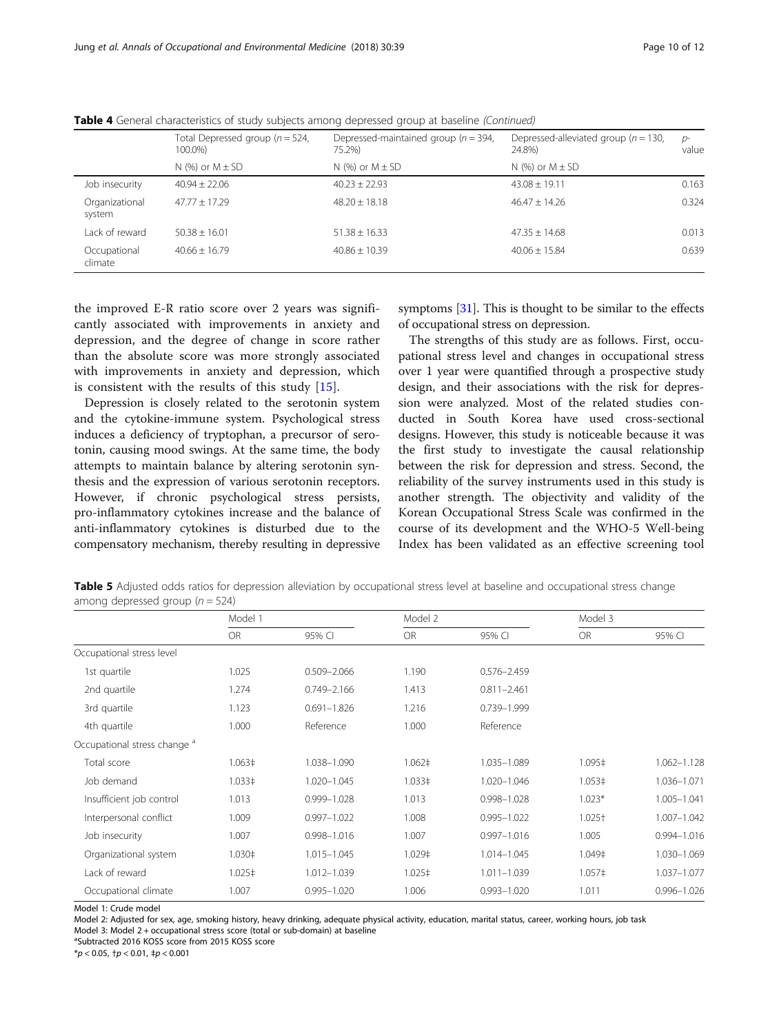|                          | Total Depressed group ( $n = 524$ ,<br>100.0%) | Depressed-maintained group ( $n = 394$ ,<br>75.2%) | Depressed-alleviated group ( $n = 130$ ,<br>24.8%) | $p-$<br>value |
|--------------------------|------------------------------------------------|----------------------------------------------------|----------------------------------------------------|---------------|
|                          | N $(%)$ or $M \pm SD$                          | N $(%)$ or $M \pm SD$                              | N $(%)$ or $M \pm SD$                              |               |
| Job insecurity           | $40.94 + 22.06$                                | $40.23 + 22.93$                                    | $43.08 \pm 19.11$                                  | 0.163         |
| Organizational<br>system | $47.77 + 17.29$                                | $48.20 + 18.18$                                    | $46.47 \pm 14.26$                                  | 0.324         |
| Lack of reward           | $50.38 + 16.01$                                | $51.38 \pm 16.33$                                  | $47.35 \pm 14.68$                                  | 0.013         |
| Occupational<br>climate  | $40.66 \pm 16.79$                              | $40.86 \pm 10.39$                                  | $40.06 \pm 15.84$                                  | 0.639         |

<span id="page-9-0"></span>Table 4 General characteristics of study subjects among depressed group at baseline (Continued)

the improved E-R ratio score over 2 years was significantly associated with improvements in anxiety and depression, and the degree of change in score rather than the absolute score was more strongly associated with improvements in anxiety and depression, which is consistent with the results of this study [\[15](#page-10-0)].

Depression is closely related to the serotonin system and the cytokine-immune system. Psychological stress induces a deficiency of tryptophan, a precursor of serotonin, causing mood swings. At the same time, the body attempts to maintain balance by altering serotonin synthesis and the expression of various serotonin receptors. However, if chronic psychological stress persists, pro-inflammatory cytokines increase and the balance of anti-inflammatory cytokines is disturbed due to the compensatory mechanism, thereby resulting in depressive

symptoms [[31](#page-11-0)]. This is thought to be similar to the effects of occupational stress on depression.

The strengths of this study are as follows. First, occupational stress level and changes in occupational stress over 1 year were quantified through a prospective study design, and their associations with the risk for depression were analyzed. Most of the related studies conducted in South Korea have used cross-sectional designs. However, this study is noticeable because it was the first study to investigate the causal relationship between the risk for depression and stress. Second, the reliability of the survey instruments used in this study is another strength. The objectivity and validity of the Korean Occupational Stress Scale was confirmed in the course of its development and the WHO-5 Well-being Index has been validated as an effective screening tool

Table 5 Adjusted odds ratios for depression alleviation by occupational stress level at baseline and occupational stress change among depressed group  $(n = 524)$ 

|                                         | Model 1            |                 |                    | Model 2         |             | Model 3         |  |
|-----------------------------------------|--------------------|-----------------|--------------------|-----------------|-------------|-----------------|--|
|                                         | <b>OR</b>          | 95% CI          | OR                 | 95% CI          | <b>OR</b>   | 95% CI          |  |
| Occupational stress level               |                    |                 |                    |                 |             |                 |  |
| 1st quartile                            | 1.025              | $0.509 - 2.066$ | 1.190              | $0.576 - 2.459$ |             |                 |  |
| 2nd quartile                            | 1.274              | $0.749 - 2.166$ | 1.413              | $0.811 - 2.461$ |             |                 |  |
| 3rd quartile                            | 1.123              | $0.691 - 1.826$ | 1.216              | 0.739-1.999     |             |                 |  |
| 4th quartile                            | 1.000              | Reference       | 1.000              | Reference       |             |                 |  |
| Occupational stress change <sup>a</sup> |                    |                 |                    |                 |             |                 |  |
| Total score                             | 1.063 <sup>‡</sup> | 1.038-1.090     | 1.062 <sup>‡</sup> | 1.035-1.089     | 1.095‡      | 1.062-1.128     |  |
| Job demand                              | 1.033 <sup>‡</sup> | 1.020-1.045     | $1.033 \pm 1.033$  | 1.020-1.046     | $1.053 \pm$ | 1.036-1.071     |  |
| Insufficient job control                | 1.013              | 0.999-1.028     | 1.013              | 0.998-1.028     | $1.023*$    | $1.005 - 1.041$ |  |
| Interpersonal conflict                  | 1.009              | $0.997 - 1.022$ | 1.008              | $0.995 - 1.022$ | 1.025†      | 1.007-1.042     |  |
| Job insecurity                          | 1.007              | 0.998-1.016     | 1.007              | $0.997 - 1.016$ | 1.005       | 0.994-1.016     |  |
| Organizational system                   | 1.030‡             | 1.015-1.045     | 1.029‡             | 1.014-1.045     | 1.049‡      | 1.030-1.069     |  |
| Lack of reward                          | $1.025 \pm$        | 1.012-1.039     | 1.025‡             | $1.011 - 1.039$ | 1.057‡      | 1.037-1.077     |  |
| Occupational climate                    | 1.007              | $0.995 - 1.020$ | 1.006              | $0.993 - 1.020$ | 1.011       | $0.996 - 1.026$ |  |

Model 1: Crude model

Model 2: Adjusted for sex, age, smoking history, heavy drinking, adequate physical activity, education, marital status, career, working hours, job task Model 3: Model 2 + occupational stress score (total or sub-domain) at baseline

a Subtracted 2016 KOSS score from 2015 KOSS score

\*p < 0.05, †p < 0.01, ‡p < 0.001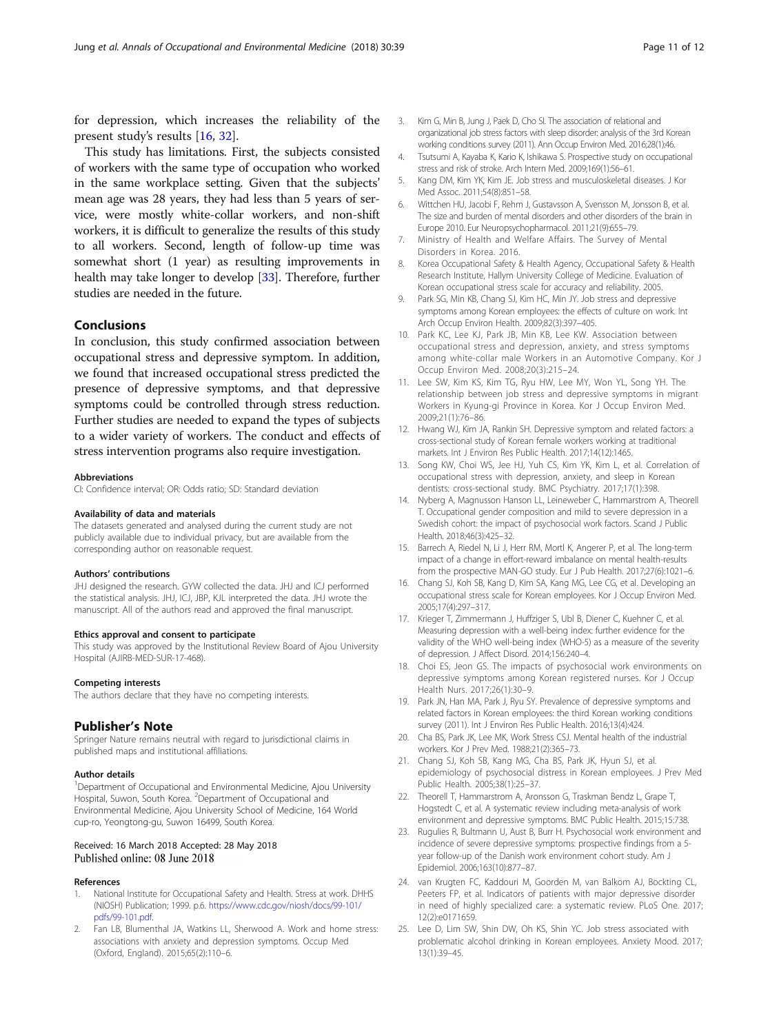<span id="page-10-0"></span>for depression, which increases the reliability of the present study's results [16, [32](#page-11-0)].

This study has limitations. First, the subjects consisted of workers with the same type of occupation who worked in the same workplace setting. Given that the subjects' mean age was 28 years, they had less than 5 years of service, were mostly white-collar workers, and non-shift workers, it is difficult to generalize the results of this study to all workers. Second, length of follow-up time was somewhat short (1 year) as resulting improvements in health may take longer to develop [\[33\]](#page-11-0). Therefore, further studies are needed in the future.

# **Conclusions**

In conclusion, this study confirmed association between occupational stress and depressive symptom. In addition, we found that increased occupational stress predicted the presence of depressive symptoms, and that depressive symptoms could be controlled through stress reduction. Further studies are needed to expand the types of subjects to a wider variety of workers. The conduct and effects of stress intervention programs also require investigation.

#### Abbreviations

CI: Confidence interval; OR: Odds ratio; SD: Standard deviation

#### Availability of data and materials

The datasets generated and analysed during the current study are not publicly available due to individual privacy, but are available from the corresponding author on reasonable request.

#### Authors' contributions

JHJ designed the research. GYW collected the data. JHJ and ICJ performed the statistical analysis. JHJ, ICJ, JBP, KJL interpreted the data. JHJ wrote the manuscript. All of the authors read and approved the final manuscript.

#### Ethics approval and consent to participate

This study was approved by the Institutional Review Board of Ajou University Hospital (AJIRB-MED-SUR-17-468).

#### Competing interests

The authors declare that they have no competing interests.

## Publisher's Note

Springer Nature remains neutral with regard to jurisdictional claims in published maps and institutional affiliations.

#### Author details

<sup>1</sup>Department of Occupational and Environmental Medicine, Ajou University Hospital, Suwon, South Korea. <sup>2</sup>Department of Occupational and Environmental Medicine, Ajou University School of Medicine, 164 World cup-ro, Yeongtong-gu, Suwon 16499, South Korea.

#### Received: 16 March 2018 Accepted: 28 May 2018 Published online: 08 June 2018

#### References

- 1. National Institute for Occupational Safety and Health. Stress at work. DHHS (NIOSH) Publication; 1999. p.6. [https://www.cdc.gov/niosh/docs/99-101/](https://www.cdc.gov/niosh/docs/99-101/pdfs/99-101.pdf) [pdfs/99-101.pdf](https://www.cdc.gov/niosh/docs/99-101/pdfs/99-101.pdf).
- 2. Fan LB, Blumenthal JA, Watkins LL, Sherwood A. Work and home stress: associations with anxiety and depression symptoms. Occup Med (Oxford, England). 2015;65(2):110–6.
- 3. Kim G, Min B, Jung J, Paek D, Cho SI. The association of relational and organizational job stress factors with sleep disorder: analysis of the 3rd Korean working conditions survey (2011). Ann Occup Environ Med. 2016;28(1):46.
- 4. Tsutsumi A, Kayaba K, Kario K, Ishikawa S. Prospective study on occupational stress and risk of stroke. Arch Intern Med. 2009;169(1):56–61.
- 5. Kang DM, Kim YK, Kim JE. Job stress and musculoskeletal diseases. J Kor Med Assoc. 2011;54(8):851–58.
- 6. Wittchen HU, Jacobi F, Rehm J, Gustavsson A, Svensson M, Jonsson B, et al. The size and burden of mental disorders and other disorders of the brain in Europe 2010. Eur Neuropsychopharmacol. 2011;21(9):655–79.
- 7. Ministry of Health and Welfare Affairs. The Survey of Mental Disorders in Korea. 2016.
- 8. Korea Occupational Safety & Health Agency, Occupational Safety & Health Research Institute, Hallym University College of Medicine. Evaluation of Korean occupational stress scale for accuracy and reliability. 2005.
- 9. Park SG, Min KB, Chang SJ, Kim HC, Min JY. Job stress and depressive symptoms among Korean employees: the effects of culture on work. Int Arch Occup Environ Health. 2009;82(3):397–405.
- 10. Park KC, Lee KJ, Park JB, Min KB, Lee KW. Association between occupational stress and depression, anxiety, and stress symptoms among white-collar male Workers in an Automotive Company. Kor J Occup Environ Med. 2008;20(3):215–24.
- 11. Lee SW, Kim KS, Kim TG, Ryu HW, Lee MY, Won YL, Song YH. The relationship between job stress and depressive symptoms in migrant Workers in Kyung-gi Province in Korea. Kor J Occup Environ Med. 2009;21(1):76–86.
- 12. Hwang WJ, Kim JA, Rankin SH. Depressive symptom and related factors: a cross-sectional study of Korean female workers working at traditional markets. Int J Environ Res Public Health. 2017;14(12):1465.
- 13. Song KW, Choi WS, Jee HJ, Yuh CS, Kim YK, Kim L, et al. Correlation of occupational stress with depression, anxiety, and sleep in Korean dentists: cross-sectional study. BMC Psychiatry. 2017;17(1):398.
- 14. Nyberg A, Magnusson Hanson LL, Leineweber C, Hammarstrom A, Theorell T. Occupational gender composition and mild to severe depression in a Swedish cohort: the impact of psychosocial work factors. Scand J Public Health. 2018;46(3):425–32.
- 15. Barrech A, Riedel N, Li J, Herr RM, Mortl K, Angerer P, et al. The long-term impact of a change in effort-reward imbalance on mental health-results from the prospective MAN-GO study. Eur J Pub Health. 2017;27(6):1021–6.
- 16. Chang SJ, Koh SB, Kang D, Kim SA, Kang MG, Lee CG, et al. Developing an occupational stress scale for Korean employees. Kor J Occup Environ Med. 2005;17(4):297–317.
- 17. Krieger T, Zimmermann J, Huffziger S, Ubl B, Diener C, Kuehner C, et al. Measuring depression with a well-being index: further evidence for the validity of the WHO well-being index (WHO-5) as a measure of the severity of depression. J Affect Disord. 2014;156:240–4.
- 18. Choi ES, Jeon GS. The impacts of psychosocial work environments on depressive symptoms among Korean registered nurses. Kor J Occup Health Nurs. 2017;26(1):30–9.
- 19. Park JN, Han MA, Park J, Ryu SY. Prevalence of depressive symptoms and related factors in Korean employees: the third Korean working conditions survey (2011). Int J Environ Res Public Health. 2016;13(4):424.
- 20. Cha BS, Park JK, Lee MK, Work Stress CSJ. Mental health of the industrial workers. Kor J Prev Med. 1988;21(2):365–73.
- 21. Chang SJ, Koh SB, Kang MG, Cha BS, Park JK, Hyun SJ, et al. epidemiology of psychosocial distress in Korean employees. J Prev Med Public Health. 2005;38(1):25–37.
- 22. Theorell T, Hammarstrom A, Aronsson G, Traskman Bendz L, Grape T, Hogstedt C, et al. A systematic review including meta-analysis of work environment and depressive symptoms. BMC Public Health. 2015;15:738.
- 23. Rugulies R, Bultmann U, Aust B, Burr H. Psychosocial work environment and incidence of severe depressive symptoms: prospective findings from a 5 year follow-up of the Danish work environment cohort study. Am J Epidemiol. 2006;163(10):877–87.
- 24. van Krugten FC, Kaddouri M, Goorden M, van Balkom AJ, Bockting CL, Peeters FP, et al. Indicators of patients with major depressive disorder in need of highly specialized care: a systematic review. PLoS One. 2017; 12(2):e0171659.
- 25. Lee D, Lim SW, Shin DW, Oh KS, Shin YC. Job stress associated with problematic alcohol drinking in Korean employees. Anxiety Mood. 2017; 13(1):39–45.